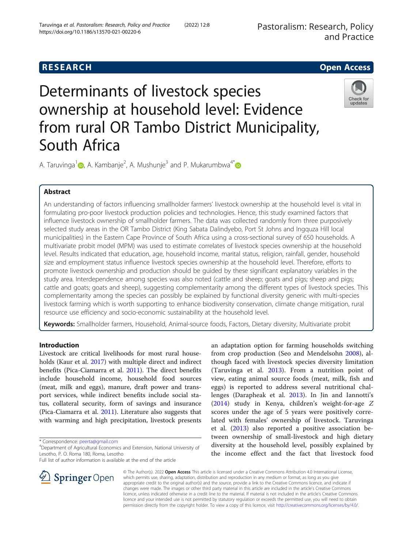

# Determinants of livestock species ownership at household level: Evidence from rural OR Tambo District Municipality, South Africa



A. Taruvinga $^1$  $^1$ @, A. Kambanje<sup>2</sup>, A. Mushunje $^3$  and P. Mukarumbwa $^{4^*}$ 

# Abstract

An understanding of factors influencing smallholder farmers' livestock ownership at the household level is vital in formulating pro-poor livestock production policies and technologies. Hence, this study examined factors that influence livestock ownership of smallholder farmers. The data was collected randomly from three purposively selected study areas in the OR Tambo District (King Sabata Dalindyebo, Port St Johns and Ingquza Hill local municipalities) in the Eastern Cape Province of South Africa using a cross-sectional survey of 650 households. A multivariate probit model (MPM) was used to estimate correlates of livestock species ownership at the household level. Results indicated that education, age, household income, marital status, religion, rainfall, gender, household size and employment status influence livestock species ownership at the household level. Therefore, efforts to promote livestock ownership and production should be guided by these significant explanatory variables in the study area. Interdependence among species was also noted (cattle and sheep; goats and pigs; sheep and pigs; cattle and goats; goats and sheep), suggesting complementarity among the different types of livestock species. This complementarity among the species can possibly be explained by functional diversity generic with multi-species livestock farming which is worth supporting to enhance biodiversity conservation, climate change mitigation, rural resource use efficiency and socio-economic sustainability at the household level.

Keywords: Smallholder farmers, Household, Animal-source foods, Factors, Dietary diversity, Multivariate probit

# Introduction

Livestock are critical livelihoods for most rural households (Kaur et al. [2017](#page-9-0)) with multiple direct and indirect benefits (Pica-Ciamarra et al. [2011\)](#page-10-0). The direct benefits include household income, household food sources (meat, milk and eggs), manure, draft power and transport services, while indirect benefits include social status, collateral security, form of savings and insurance (Pica-Ciamarra et al. [2011](#page-10-0)). Literature also suggests that with warming and high precipitation, livestock presents

\* Correspondence: [peerta@gmail.com](mailto:peerta@gmail.com) <sup>4</sup>





© The Author(s). 2022 Open Access This article is licensed under a Creative Commons Attribution 4.0 International License, which permits use, sharing, adaptation, distribution and reproduction in any medium or format, as long as you give appropriate credit to the original author(s) and the source, provide a link to the Creative Commons licence, and indicate if changes were made. The images or other third party material in this article are included in the article's Creative Commons licence, unless indicated otherwise in a credit line to the material. If material is not included in the article's Creative Commons licence and your intended use is not permitted by statutory regulation or exceeds the permitted use, you will need to obtain permission directly from the copyright holder. To view a copy of this licence, visit <http://creativecommons.org/licenses/by/4.0/>.

Department of Agricultural Economics and Extension, National University of Lesotho, P. O. Roma 180, Roma, Lesotho

Full list of author information is available at the end of the article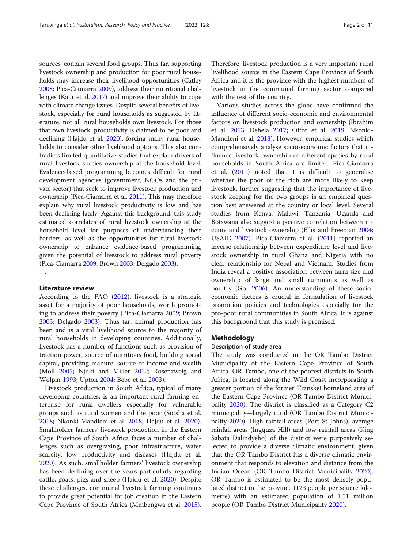sources contain several food groups. Thus far, supporting livestock ownership and production for poor rural households may increase their livelihood opportunities (Catley [2008;](#page-8-0) Pica-Ciamarra [2009](#page-10-0)), address their nutritional challenges (Kaur et al. [2017\)](#page-9-0) and improve their ability to cope with climate change issues. Despite several benefits of livestock, especially for rural households as suggested by literature, not all rural households own livestock. For those that own livestock, productivity is claimed to be poor and declining (Hajdu et al. [2020\)](#page-9-0), forcing many rural households to consider other livelihood options. This also contradicts limited quantitative studies that explain drivers of rural livestock species ownership at the household level. Evidence-based programming becomes difficult for rural development agencies (government, NGOs and the private sector) that seek to improve livestock production and ownership (Pica-Ciamarra et al. [2011\)](#page-10-0). This may therefore explain why rural livestock productivity is low and has been declining lately. Against this background, this study estimated correlates of rural livestock ownership at the household level for purposes of understanding their barriers, as well as the opportunities for rural livestock ownership to enhance evidence-based programming, given the potential of livestock to address rural poverty (Pica-Ciamarra [2009;](#page-10-0) Brown [2003;](#page-8-0) Delgado [2003](#page-8-0)).

#### Literature review

.

According to the FAO [\(2012\)](#page-8-0), livestock is a strategic asset for a majority of poor households, worth promoting to address their poverty (Pica-Ciamarra [2009](#page-10-0); Brown [2003](#page-8-0); Delgado [2003](#page-8-0)). Thus far, animal production has been and is a vital livelihood source to the majority of rural households in developing countries. Additionally, livestock has a number of functions such as provision of traction power, source of nutritious food, building social capital, providing manure, source of income and wealth (Moll [2005;](#page-9-0) Njuki and Miller [2012;](#page-9-0) Rosenzweig and Wolpin [1993](#page-10-0); Upton [2004;](#page-10-0) Bebe et al. [2003\)](#page-8-0).

Livestock production in South Africa, typical of many developing countries, is an important rural farming enterprise for rural dwellers especially for vulnerable groups such as rural women and the poor (Sotsha et al. [2018](#page-10-0); Nkonki-Mandleni et al. [2018;](#page-9-0) Hajdu et al. [2020](#page-9-0)). Smallholder farmers' livestock production in the Eastern Cape Province of South Africa faces a number of challenges such as overgrazing, poor infrastructure, water scarcity, low productivity and diseases (Hajdu et al. [2020](#page-9-0)). As such, smallholder farmers' livestock ownership has been declining over the years particularly regarding cattle, goats, pigs and sheep (Hajdu et al. [2020](#page-9-0)). Despite these challenges, communal livestock farming continues to provide great potential for job creation in the Eastern Cape Province of South Africa (Mmbengwa et al. [2015](#page-9-0)).

Therefore, livestock production is a very important rural livelihood source in the Eastern Cape Province of South Africa and it is the province with the highest numbers of livestock in the communal farming sector compared with the rest of the country.

Various studies across the globe have confirmed the influence of different socio-economic and environmental factors on livestock production and ownership (Ibrahim et al. [2013](#page-9-0); Debela [2017;](#page-8-0) Offor et al. [2019;](#page-9-0) Nkonki-Mandleni et al. [2018](#page-9-0)). However, empirical studies which comprehensively analyse socio-economic factors that influence livestock ownership of different species by rural households in South Africa are limited. Pica-Ciamarra et al. ([2011](#page-10-0)) noted that it is difficult to generalise whether the poor or the rich are more likely to keep livestock, further suggesting that the importance of livestock keeping for the two groups is an empirical question best answered at the country or local level. Several studies from Kenya, Malawi, Tanzania, Uganda and Botswana also suggest a positive correlation between income and livestock ownership (Ellis and Freeman [2004](#page-8-0); USAID [2007\)](#page-10-0). Pica-Ciamarra et al. [\(2011](#page-10-0)) reported an inverse relationship between expenditure level and livestock ownership in rural Ghana and Nigeria with no clear relationship for Nepal and Vietnam. Studies from India reveal a positive association between farm size and ownership of large and small ruminants as well as poultry (GoI [2006\)](#page-9-0). An understanding of these socioeconomic factors is crucial in formulation of livestock promotion policies and technologies especially for the pro-poor rural communities in South Africa. It is against this background that this study is premised.

## Methodology

#### Description of study area

The study was conducted in the OR Tambo District Municipality of the Eastern Cape Province of South Africa. OR Tambo, one of the poorest districts in South Africa, is located along the Wild Coast incorporating a greater portion of the former Transkei homeland area of the Eastern Cape Province (OR Tambo District Municipality [2020\)](#page-9-0). The district is classified as a Category C2 municipality—largely rural (OR Tambo District Municipality [2020](#page-9-0)). High rainfall areas (Port St Johns), average rainfall areas (Ingquza Hill) and low rainfall areas (King Sabata Dalindyebo) of the district were purposively selected to provide a diverse climatic environment, given that the OR Tambo District has a diverse climatic environment that responds to elevation and distance from the Indian Ocean (OR Tambo District Municipality [2020](#page-9-0)). OR Tambo is estimated to be the most densely populated district in the province (123 people per square kilometre) with an estimated population of 1.51 million people (OR Tambo District Municipality [2020](#page-9-0)).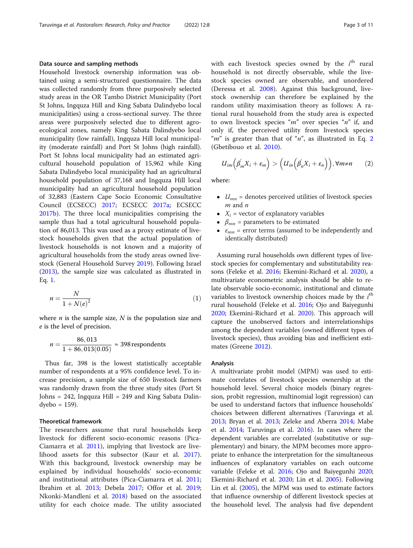# Data source and sampling methods

Household livestock ownership information was obtained using a semi-structured questionnaire. The data was collected randomly from three purposively selected study areas in the OR Tambo District Municipality (Port St Johns, Ingquza Hill and King Sabata Dalindyebo local municipalities) using a cross-sectional survey. The three areas were purposively selected due to different agroecological zones, namely King Sabata Dalindyebo local municipality (low rainfall), Ingquza Hill local municipality (moderate rainfall) and Port St Johns (high rainfall). Port St Johns local municipality had an estimated agricultural household population of 15,962 while King Sabata Dalindyebo local municipality had an agricultural household population of 37,168 and Ingquza Hill local municipality had an agricultural household population of 32,883 (Eastern Cape Socio Economic Consultative Council (ECSECC) [2017;](#page-8-0) ECSECC [2017a;](#page-8-0) ECSECC [2017b](#page-8-0)). The three local municipalities comprising the sample thus had a total agricultural household population of 86,013. This was used as a proxy estimate of livestock households given that the actual population of livestock households is not known and a majority of agricultural households from the study areas owned livestock (General Household Survey [2019](#page-9-0)). Following Israel ([2013](#page-9-0)), the sample size was calculated as illustrated in Eq. 1.

$$
n = \frac{N}{1 + N(e)^2} \tag{1}
$$

where  $n$  is the sample size,  $N$  is the population size and e is the level of precision.

$$
n = \frac{86,013}{1 + 86,013(0.05)} \approx 398
$$
respondents

Thus far, 398 is the lowest statistically acceptable number of respondents at a 95% confidence level. To increase precision, a sample size of 650 livestock farmers was randomly drawn from the three study sites (Port St Johns = 242, Ingquza Hill = 249 and King Sabata Dalin $dyebo = 159$ ).

#### Theoretical framework

The researchers assume that rural households keep livestock for different socio-economic reasons (Pica-Ciamarra et al. [2011\)](#page-10-0), implying that livestock are livelihood assets for this subsector (Kaur et al. [2017](#page-9-0)). With this background, livestock ownership may be explained by individual households' socio-economic and institutional attributes (Pica-Ciamarra et al. [2011](#page-10-0); Ibrahim et al. [2013](#page-9-0); Debela [2017;](#page-8-0) Offor et al. [2019](#page-9-0); Nkonki-Mandleni et al. [2018\)](#page-9-0) based on the associated utility for each choice made. The utility associated

with each livestock species owned by the  $i<sup>th</sup>$  rural household is not directly observable, while the livestock species owned are observable, and unordered (Deressa et al. [2008](#page-8-0)). Against this background, livestock ownership can therefore be explained by the random utility maximisation theory as follows: A rational rural household from the study area is expected to own livestock species " $m$ " over species " $n$ " if, and only if, the perceived utility from livestock species " $m$ " is greater than that of " $n$ ", as illustrated in Eq. 2 (Gbetibouo et al. [2010\)](#page-9-0).

$$
U_{im}(\beta'_{m}X_{i}+\varepsilon_{m}) > (U_{in}(\beta'_{n}X_{i}+\varepsilon_{n})), \forall m \neq n
$$
 (2)

where:

- $\bullet$   $U_{mn}$  = denotes perceived utilities of livestock species  $m$  and  $n$
- $X_i$  = vector of explanatory variables
- $\beta_{mn}$  = parameters to be estimated
- $\bullet$   $\varepsilon_{mn}$  = error terms (assumed to be independently and identically distributed)

Assuming rural households own different types of livestock species for complementary and substitutability reasons (Feleke et al. [2016](#page-8-0); Ekemini-Richard et al. [2020](#page-8-0)), a multivariate econometric analysis should be able to relate observable socio-economic, institutional and climate variables to livestock ownership choices made by the  $i<sup>th</sup>$ rural household (Feleke et al. [2016](#page-8-0); Ojo and Baiyegunhi [2020](#page-9-0); Ekemini-Richard et al. [2020](#page-8-0)). This approach will capture the unobserved factors and interrelationships among the dependent variables (owned different types of livestock species), thus avoiding bias and inefficient estimates (Greene [2012\)](#page-9-0).

## Analysis

A multivariate probit model (MPM) was used to estimate correlates of livestock species ownership at the household level. Several choice models (binary regression, probit regression, multinomial logit regression) can be used to understand factors that influence households' choices between different alternatives (Taruvinga et al. [2013](#page-10-0); Bryan et al. [2013](#page-8-0); Zeleke and Aberra [2014](#page-10-0); Mabe et al. [2014](#page-9-0); Taruvinga et al. [2016](#page-10-0)). In cases where the dependent variables are correlated (substitutive or supplementary) and binary, the MPM becomes more appropriate to enhance the interpretation for the simultaneous influences of explanatory variables on each outcome variable (Feleke et al. [2016;](#page-8-0) Ojo and Baiyegunhi [2020](#page-9-0); Ekemini-Richard et al. [2020;](#page-8-0) Lin et al. [2005](#page-9-0)). Following Lin et al. ([2005](#page-9-0)), the MPM was used to estimate factors that influence ownership of different livestock species at the household level. The analysis had five dependent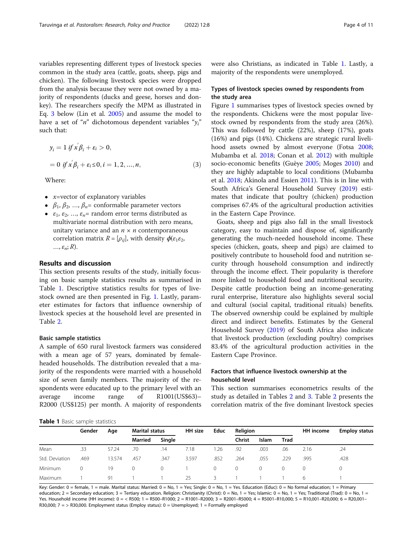variables representing different types of livestock species common in the study area (cattle, goats, sheep, pigs and chicken). The following livestock species were dropped from the analysis because they were not owned by a majority of respondents (ducks and geese, horses and donkey). The researchers specify the MPM as illustrated in Eq. 3 below (Lin et al. [2005\)](#page-9-0) and assume the model to have a set of "n" dichotomous dependent variables " $y_i$ " such that:

$$
y_i = 1 \text{ if } x' \beta_i + \varepsilon_i > 0,
$$
  
= 0 \text{ if } x' \beta\_i + \varepsilon\_i \le 0, i = 1, 2, ..., n, (3)

Where:

- $x$ =vector of explanatory variables
- $\bullet$   $\beta_1, \beta_2, ..., \beta_n$ = conformable parameter vectors
- $\varepsilon_1$ ,  $\varepsilon_2$ , ...,  $\varepsilon_n$ = random error terms distributed as multivariate normal distribution with zero means, unitary variance and an  $n \times n$  contemporaneous correlation matrix  $R = [\rho_{ii}]$ , with density  $\phi(\varepsilon_1 \varepsilon_2)$ ,  $\ldots, \varepsilon_n; R$ ).

# Results and discussion

This section presents results of the study, initially focusing on basic sample statistics results as summarised in Table 1. Descriptive statistics results for types of livestock owned are then presented in Fig. [1](#page-4-0). Lastly, parameter estimates for factors that influence ownership of livestock species at the household level are presented in Table [2.](#page-4-0)

## Basic sample statistics

A sample of 650 rural livestock farmers was considered with a mean age of 57 years, dominated by femaleheaded households. The distribution revealed that a majority of the respondents were married with a household size of seven family members. The majority of the respondents were educated up to the primary level with an average income range of R1001(US\$63)– R2000 (US\$125) per month. A majority of respondents

were also Christians, as indicated in Table 1. Lastly, a majority of the respondents were unemployed.

# Types of livestock species owned by respondents from the study area

Figure [1](#page-4-0) summarises types of livestock species owned by the respondents. Chickens were the most popular livestock owned by respondents from the study area (26%). This was followed by cattle (22%), sheep (17%), goats (16%) and pigs (14%). Chickens are strategic rural livelihood assets owned by almost everyone (Fotsa [2008](#page-9-0); Mubamba et al. [2018](#page-9-0); Conan et al. [2012\)](#page-8-0) with multiple socio-economic benefits (Guèye [2005](#page-9-0); Moges [2010\)](#page-9-0) and they are highly adaptable to local conditions (Mubamba et al. [2018;](#page-9-0) Akinola and Essien [2011](#page-8-0)). This is in line with South Africa's General Household Survey ([2019\)](#page-9-0) estimates that indicate that poultry (chicken) production comprises 67.4% of the agricultural production activities in the Eastern Cape Province.

Goats, sheep and pigs also fall in the small livestock category, easy to maintain and dispose of, significantly generating the much-needed household income. These species (chicken, goats, sheep and pigs) are claimed to positively contribute to household food and nutrition security through household consumption and indirectly through the income effect. Their popularity is therefore more linked to household food and nutritional security. Despite cattle production being an income-generating rural enterprise, literature also highlights several social and cultural (social capital, traditional rituals) benefits. The observed ownership could be explained by multiple direct and indirect benefits. Estimates by the General Household Survey ([2019](#page-9-0)) of South Africa also indicate that livestock production (excluding poultry) comprises 83.4% of the agricultural production activities in the Eastern Cape Province.

# Factors that influence livestock ownership at the household level

This section summarises econometrics results of the study as detailed in Tables [2](#page-4-0) and [3.](#page-5-0) Table [2](#page-4-0) presents the correlation matrix of the five dominant livestock species

#### Table 1 Basic sample statistics

| .              |        |        |                       |          |         |          |          |              |          |           |                      |
|----------------|--------|--------|-----------------------|----------|---------|----------|----------|--------------|----------|-----------|----------------------|
|                | Gender | Age    | <b>Marital status</b> |          | HH size | Educ     | Religion |              |          | HH income | <b>Employ status</b> |
|                |        |        | <b>Married</b>        | Single   |         |          | Christ   | <b>Islam</b> | Trad     |           |                      |
| Mean           | .33    | 57.24  | .70                   | .14      | 7.18    | 1.26     | .92      | .003         | .06      | 2.16      | .24                  |
| Std. Deviation | .469   | 13.574 | .457                  | .347     | 3.597   | .852     | .264     | .055         | .229     | .995      | .428                 |
| <b>Minimum</b> | 0      | 19     | $\circ$               | $\Omega$ |         | $\Omega$ | 0        | $\Omega$     | $\Omega$ | $\Omega$  |                      |
| Maximum        |        | 91     |                       |          | 25      | 3        |          |              |          | 6         |                      |

Key: Gender: 0 = female, 1 = male. Marital status: Married: 0 = No, 1 = Yes; Single: 0 = No, 1 = Yes. Education (Educ): 0 = No formal education; 1 = Primary education;  $2 =$  Secondary education;  $3 =$  Tertiary education. Religion: Christianity (Christ):  $0 =$  No,  $1 =$  Yes; Islamic:  $0 =$  No,  $1 =$  Yes; Traditional (Trad):  $0 =$  No,  $1 =$ Yes. Household income (HH income): 0 = < R500; 1 = R500–R1000; 2 = R1001–R2000; 3 = R2001–R5000; 4 = R5001–R10,000; 5 = R10,001–R20,000; 6 = R20,001– R30,000; 7 = > R30,000. Employment status (Employ status): 0 = Unemployed; 1 = Formally employed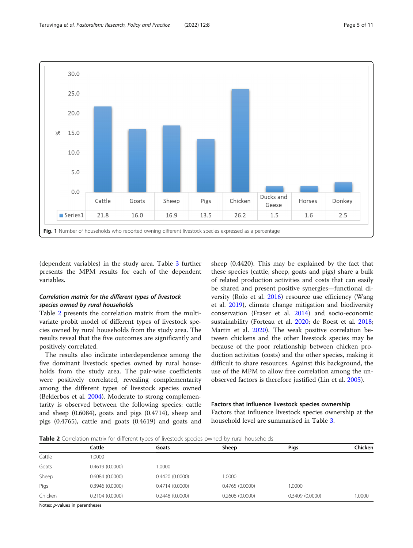<span id="page-4-0"></span>

(dependent variables) in the study area. Table [3](#page-5-0) further presents the MPM results for each of the dependent variables.

# Correlation matrix for the different types of livestock species owned by rural households

Table 2 presents the correlation matrix from the multivariate probit model of different types of livestock species owned by rural households from the study area. The results reveal that the five outcomes are significantly and positively correlated.

The results also indicate interdependence among the five dominant livestock species owned by rural households from the study area. The pair-wise coefficients were positively correlated, revealing complementarity among the different types of livestock species owned (Belderbos et al. [2004](#page-8-0)). Moderate to strong complementarity is observed between the following species: cattle and sheep (0.6084), goats and pigs (0.4714), sheep and pigs (0.4765), cattle and goats (0.4619) and goats and sheep (0.4420). This may be explained by the fact that these species (cattle, sheep, goats and pigs) share a bulk of related production activities and costs that can easily be shared and present positive synergies—functional diversity (Rolo et al. [2016](#page-10-0)) resource use efficiency (Wang et al. [2019\)](#page-10-0), climate change mitigation and biodiversity conservation (Fraser et al. [2014\)](#page-9-0) and socio-economic sustainability (Forteau et al. [2020](#page-8-0); de Roest et al. [2018](#page-8-0); Martin et al. [2020\)](#page-9-0). The weak positive correlation between chickens and the other livestock species may be because of the poor relationship between chicken production activities (costs) and the other species, making it difficult to share resources. Against this background, the use of the MPM to allow free correlation among the unobserved factors is therefore justified (Lin et al. [2005](#page-9-0)).

# Factors that influence livestock species ownership

Factors that influence livestock species ownership at the household level are summarised in Table [3.](#page-5-0)

Table 2 Correlation matrix for different types of livestock species owned by rural households

|         |                | $\overline{\phantom{0}}$ |                |                |         |
|---------|----------------|--------------------------|----------------|----------------|---------|
|         | Cattle         | Goats                    | Sheep          | Pigs           | Chicken |
| Cattle  | 1.0000         |                          |                |                |         |
| Goats   | 0.4619(0.0000) | 1.0000                   |                |                |         |
| Sheep   | 0.6084(0.0000) | 0.4420(0.0000)           | .0000          |                |         |
| Pigs    | 0.3946(0.0000) | 0.4714(0.0000)           | 0.4765(0.0000) | 1.0000         |         |
| Chicken | 0.2104(0.0000) | 0.2448(0.0000)           | 0.2608(0.0000) | 0.3409(0.0000) | 1.0000  |

Notes: p-values in parentheses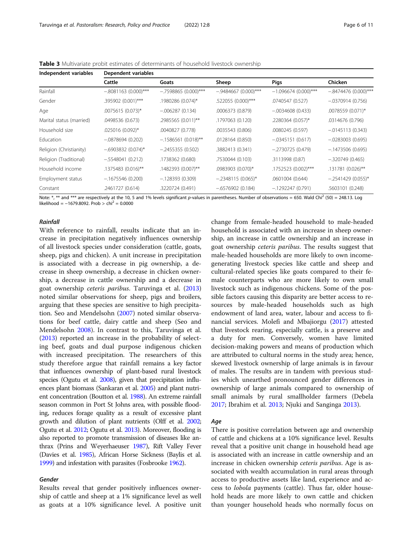| Independent variables    | Dependent variables    |                        |                       |                        |                        |  |  |  |
|--------------------------|------------------------|------------------------|-----------------------|------------------------|------------------------|--|--|--|
|                          | Cattle                 | Goats                  | Sheep                 | <b>Pigs</b>            | Chicken                |  |  |  |
| Rainfall                 | $-.8081163$ (0.000)*** | $-.7598865$ (0.000)*** | $-9484667(0.000)$ *** | $-1.096674(0.000)$ *** | $-.8474476(0.000)$ *** |  |  |  |
| Gender                   | .395902 (0.001)***     | .1980286 (0.074)*      | .522055 (0.000)***    | .0740547 (0.527)       | $-.0370914(0.756)$     |  |  |  |
| Age                      | .0075615 (0.073)*      | $-.006287(0.134)$      | .0006373 (0.879)      | $-0.0034608(0.433)$    | .0078559 (0.071)*      |  |  |  |
| Marital status (married) | .0498536 (0.673)       | .2985565 (0.011)**     | .1797063 (0.120)      | .2280364 (0.057)*      | .0314676 (0.796)       |  |  |  |
| Household size           | .025016 (0.092)*       | .0040827 (0.778)       | .0035543 (0.806)      | .0080245 (0.597)       | $-.0145113(0.343)$     |  |  |  |
| <b>Education</b>         | $-.0878694(0.202)$     | $-.1586561(0.018)$ **  | .0128164 (0.850)      | $-.0345151(0.617)$     | $-.0283003(0.695)$     |  |  |  |
| Religion (Christianity)  | $-.6903832(0.074)$ *   | $-2455355(0.502)$      | .3882413 (0.341)      | $-.2730725(0.479)$     | $-.1473506(0.695)$     |  |  |  |
| Religion (Traditional)   | $-.5548041(0.212)$     | .1738362 (0.680)       | .7530044 (0.103)      | .3113998 (0.87)        | $-.320749(0.465)$      |  |  |  |
| Household income         | .1375483 (0.016)**     | .1482393 (0.007)**     | .0983903 (0.070)*     | .1752523 (0.002)***    | .131781 (0.026)**      |  |  |  |
| Employment status        | $-.1675546(0.200)$     | $-.128393(0.309)$      | $-.2348115(0.065)^*$  | .0601004 (0.644)       | $-.2541429(0.055)*$    |  |  |  |
| Constant                 | .2461727 (0.614)       | .3220724 (0.491)       | $-.6576902(0.184)$    | $-.1292247(0.791)$     | .5603101 (0.248)       |  |  |  |

<span id="page-5-0"></span>Table 3 Multivariate probit estimates of determinants of household livestock ownership

Note: \*, \*\* and \*\*\* are respectively at the 10, 5 and 1% levels significant p-values in parentheses. Number of observations = 650. Wald Chi<sup>2</sup> (50) = 248.13. Log likelihood =  $-1679.8092$ . Prob > chi<sup>2</sup> = 0.0000

#### Rainfall

With reference to rainfall, results indicate that an increase in precipitation negatively influences ownership of all livestock species under consideration (cattle, goats, sheep, pigs and chicken). A unit increase in precipitation is associated with a decrease in pig ownership, a decrease in sheep ownership, a decrease in chicken ownership, a decrease in cattle ownership and a decrease in goat ownership ceteris paribus. Taruvinga et al. ([2013](#page-10-0)) noted similar observations for sheep, pigs and broilers, arguing that these species are sensitive to high precipitation. Seo and Mendelsohn ([2007\)](#page-10-0) noted similar observations for beef cattle, dairy cattle and sheep (Seo and Mendelsohn [2008](#page-10-0)). In contrast to this, Taruvinga et al. ([2013](#page-10-0)) reported an increase in the probability of selecting beef, goats and dual purpose indigenous chicken with increased precipitation. The researchers of this study therefore argue that rainfall remains a key factor that influences ownership of plant-based rural livestock species (Ogutu et al. [2008\)](#page-9-0), given that precipitation influences plant biomass (Sankaran et al. [2005](#page-10-0)) and plant nutrient concentration (Boutton et al. [1988](#page-8-0)). An extreme rainfall season common in Port St Johns area, with possible flooding, reduces forage quality as a result of excessive plant growth and dilution of plant nutrients (Olff et al. [2002](#page-9-0); Ogutu et al. [2012](#page-9-0); Ogutu et al. [2013](#page-9-0)). Moreover, flooding is also reported to promote transmission of diseases like anthrax (Prins and Weyerhaeuser [1987\)](#page-10-0), Rift Valley Fever (Davies et al. [1985\)](#page-8-0), African Horse Sickness (Baylis et al. [1999\)](#page-8-0) and infestation with parasites (Fosbrooke [1962\)](#page-8-0).

# Gender

Results reveal that gender positively influences ownership of cattle and sheep at a 1% significance level as well as goats at a 10% significance level. A positive unit change from female-headed household to male-headed household is associated with an increase in sheep ownership, an increase in cattle ownership and an increase in goat ownership ceteris paribus. The results suggest that male-headed households are more likely to own incomegenerating livestock species like cattle and sheep and cultural-related species like goats compared to their female counterparts who are more likely to own small livestock such as indigenous chickens. Some of the possible factors causing this disparity are better access to resources by male-headed households such as high endowment of land area, water, labour and access to financial services. Molefi and Mbajiorgu [\(2017\)](#page-9-0) attested that livestock rearing, especially cattle, is a preserve and a duty for men. Conversely, women have limited decision-making powers and means of production which are attributed to cultural norms in the study area; hence, skewed livestock ownership of large animals is in favour of males. The results are in tandem with previous studies which unearthed pronounced gender differences in ownership of large animals compared to ownership of small animals by rural smallholder farmers (Debela [2017](#page-8-0); Ibrahim et al. [2013](#page-9-0); Njuki and Sanginga [2013\)](#page-9-0).

#### Age

There is positive correlation between age and ownership of cattle and chickens at a 10% significance level. Results reveal that a positive unit change in household head age is associated with an increase in cattle ownership and an increase in chicken ownership ceteris paribus. Age is associated with wealth accumulation in rural areas through access to productive assets like land, experience and access to lobola payments (cattle). Thus far, older household heads are more likely to own cattle and chicken than younger household heads who normally focus on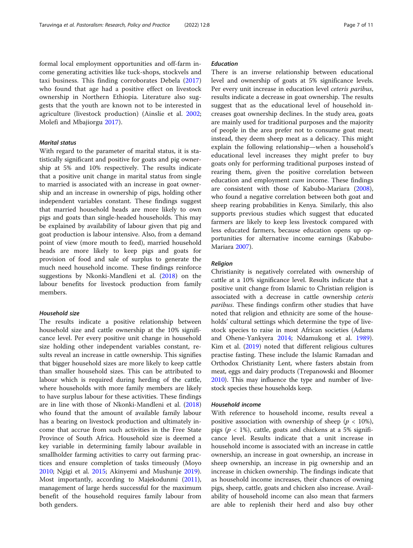formal local employment opportunities and off-farm income generating activities like tuck-shops, stockvels and taxi business. This finding corroborates Debela [\(2017](#page-8-0)) who found that age had a positive effect on livestock ownership in Northern Ethiopia. Literature also suggests that the youth are known not to be interested in agriculture (livestock production) (Ainslie et al. [2002](#page-8-0); Molefi and Mbajiorgu [2017](#page-9-0)).

# Marital status

With regard to the parameter of marital status, it is statistically significant and positive for goats and pig ownership at 5% and 10% respectively. The results indicate that a positive unit change in marital status from single to married is associated with an increase in goat ownership and an increase in ownership of pigs, holding other independent variables constant. These findings suggest that married household heads are more likely to own pigs and goats than single-headed households. This may be explained by availability of labour given that pig and goat production is labour intensive. Also, from a demand point of view (more mouth to feed), married household heads are more likely to keep pigs and goats for provision of food and sale of surplus to generate the much need household income. These findings reinforce suggestions by Nkonki-Mandleni et al. [\(2018\)](#page-9-0) on the labour benefits for livestock production from family members.

# Household size

The results indicate a positive relationship between household size and cattle ownership at the 10% significance level. Per every positive unit change in household size holding other independent variables constant, results reveal an increase in cattle ownership. This signifies that bigger household sizes are more likely to keep cattle than smaller household sizes. This can be attributed to labour which is required during herding of the cattle, where households with more family members are likely to have surplus labour for these activities. These findings are in line with those of Nkonki-Mandleni et al. ([2018](#page-9-0)) who found that the amount of available family labour has a bearing on livestock production and ultimately income that accrue from such activities in the Free State Province of South Africa. Household size is deemed a key variable in determining family labour available in smallholder farming activities to carry out farming practices and ensure completion of tasks timeously (Moyo [2010](#page-9-0); Ngigi et al. [2015](#page-9-0); Akinyemi and Mushunje [2019](#page-8-0)). Most importantly, according to Majekodunmi ([2011](#page-9-0)), management of large herds successful for the maximum benefit of the household requires family labour from both genders.

# Education

There is an inverse relationship between educational level and ownership of goats at 5% significance levels. Per every unit increase in education level ceteris paribus, results indicate a decrease in goat ownership. The results suggest that as the educational level of household increases goat ownership declines. In the study area, goats are mainly used for traditional purposes and the majority of people in the area prefer not to consume goat meat; instead, they deem sheep meat as a delicacy. This might explain the following relationship—when a household's educational level increases they might prefer to buy goats only for performing traditional purposes instead of rearing them, given the positive correlation between education and employment *cum* income. These findings are consistent with those of Kabubo-Mariara ([2008](#page-9-0)), who found a negative correlation between both goat and sheep rearing probabilities in Kenya. Similarly, this also supports previous studies which suggest that educated farmers are likely to keep less livestock compared with less educated farmers, because education opens up opportunities for alternative income earnings (Kabubo-Mariara [2007](#page-9-0)).

# Religion

Christianity is negatively correlated with ownership of cattle at a 10% significance level. Results indicate that a positive unit change from Islamic to Christian religion is associated with a decrease in cattle ownership ceteris paribus. These findings confirm other studies that have noted that religion and ethnicity are some of the households' cultural settings which determine the type of livestock species to raise in most African societies (Adams and Ohene-Yankyera [2014;](#page-8-0) Ndamukong et al. [1989](#page-9-0)). Kim et al. [\(2019\)](#page-9-0) noted that different religious cultures practise fasting. These include the Islamic Ramadan and Orthodox Christianity Lent, where fasters abstain from meat, eggs and dairy products (Trepanowski and Bloomer [2010\)](#page-10-0). This may influence the type and number of livestock species these households keep.

#### Household income

With reference to household income, results reveal a positive association with ownership of sheep ( $p < 10\%$ ), pigs ( $p < 1\%$ ), cattle, goats and chickens at a 5% significance level. Results indicate that a unit increase in household income is associated with an increase in cattle ownership, an increase in goat ownership, an increase in sheep ownership, an increase in pig ownership and an increase in chicken ownership. The findings indicate that as household income increases, their chances of owning pigs, sheep, cattle, goats and chicken also increase. Availability of household income can also mean that farmers are able to replenish their herd and also buy other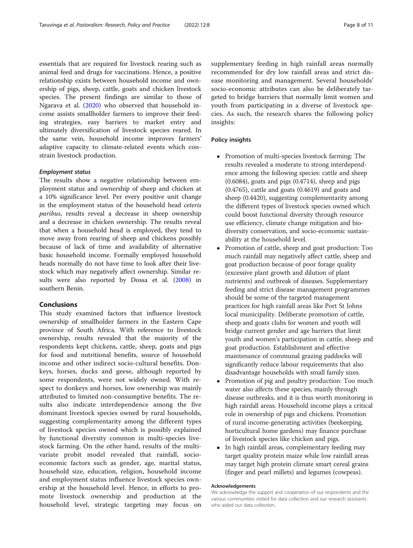essentials that are required for livestock rearing such as animal feed and drugs for vaccinations. Hence, a positive relationship exists between household income and ownership of pigs, sheep, cattle, goats and chicken livestock species. The present findings are similar to those of Ngarava et al. ([2020\)](#page-9-0) who observed that household income assists smallholder farmers to improve their feeding strategies, easy barriers to market entry and ultimately diversification of livestock species reared. In the same vein, household income improves farmers' adaptive capacity to climate-related events which constrain livestock production.

# Employment status

The results show a negative relationship between employment status and ownership of sheep and chicken at a 10% significance level. Per every positive unit change in the employment status of the household head ceteris paribus, results reveal a decrease in sheep ownership and a decrease in chicken ownership. The results reveal that when a household head is employed, they tend to move away from rearing of sheep and chickens possibly because of lack of time and availability of alternative basic household income. Formally employed household heads normally do not have time to look after their livestock which may negatively affect ownership. Similar results were also reported by Dossa et al. [\(2008\)](#page-8-0) in southern Benin.

# Conclusions

This study examined factors that influence livestock ownership of smallholder farmers in the Eastern Cape province of South Africa. With reference to livestock ownership, results revealed that the majority of the respondents kept chickens, cattle, sheep, goats and pigs for food and nutritional benefits, source of household income and other indirect socio-cultural benefits. Donkeys, horses, ducks and geese, although reported by some respondents, were not widely owned. With respect to donkeys and horses, low ownership was mainly attributed to limited non-consumptive benefits. The results also indicate interdependence among the five dominant livestock species owned by rural households, suggesting complementarity among the different types of livestock species owned which is possibly explained by functional diversity common in multi-species livestock farming. On the other hand, results of the multivariate probit model revealed that rainfall, socioeconomic factors such as gender, age, marital status, household size, education, religion, household income and employment status influence livestock species ownership at the household level. Hence, in efforts to promote livestock ownership and production at the household level, strategic targeting may focus on supplementary feeding in high rainfall areas normally recommended for dry low rainfall areas and strict disease monitoring and management. Several households' socio-economic attributes can also be deliberately targeted to bridge barriers that normally limit women and youth from participating in a diverse of livestock species. As such, the research shares the following policy insights:

# Policy insights

- Promotion of multi-species livestock farming: The results revealed a moderate to strong interdependence among the following species: cattle and sheep (0.6084), goats and pigs (0.4714), sheep and pigs (0.4765), cattle and goats (0.4619) and goats and sheep (0.4420), suggesting complementarity among the different types of livestock species owned which could boost functional diversity through resource use efficiency, climate change mitigation and biodiversity conservation, and socio-economic sustainability at the household level.
- - Promotion of cattle, sheep and goat production: Too much rainfall may negatively affect cattle, sheep and goat production because of poor forage quality (excessive plant growth and dilution of plant nutrients) and outbreak of diseases. Supplementary feeding and strict disease management programmes should be some of the targeted management practices for high rainfall areas like Port St Johns local municipality. Deliberate promotion of cattle, sheep and goats clubs for women and youth will bridge current gender and age barriers that limit youth and women's participation in cattle, sheep and goat production. Establishment and effective maintenance of communal grazing paddocks will significantly reduce labour requirements that also disadvantage households with small family sizes.
- $\bullet$  Promotion of pig and poultry production: Too much water also affects these species, mainly through disease outbreaks, and it is thus worth monitoring in high rainfall areas. Household income plays a critical role in ownership of pigs and chickens. Promotion of rural income-generating activities (beekeeping, horticultural home gardens) may finance purchase of livestock species like chicken and pigs.
- In high rainfall areas, complementary feeding may target quality protein maize while low rainfall areas may target high protein climate smart cereal grains (finger and pearl millets) and legumes (cowpeas).

#### Acknowledgements

We acknowledge the support and cooperation of our respondents and the various communities visited for data collection and our research assistants who aided our data collection.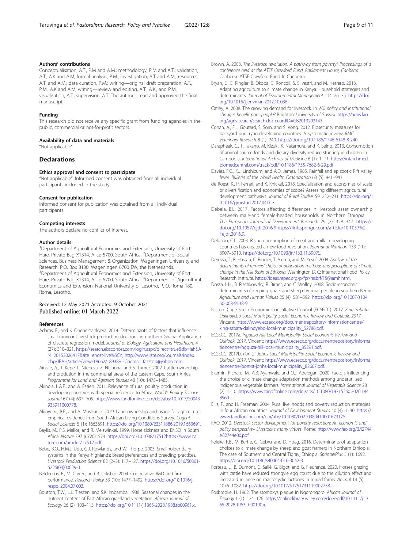#### <span id="page-8-0"></span>Authors' contributions

Conceptualisation, A.T., P.M and A.M.; methodology, P.M and A.T.; validation, A.T., A.K and A.M; formal analysis, P.M.; investigation, A.T and A.M.; resources, A.T. and A.M.; data curation, P.M.; writing—original draft preparation, A.T., P.M., A.K and A.M; writing—review and editing, A.T., A.K., and P.M.; visualisation, A.T.; supervision, A.T. The authors read and approved the final manuscript.

#### Funding

This research did not receive any specific grant from funding agencies in the public, commercial or not-for-profit sectors.

#### Availability of data and materials

"Not applicable"

#### **Declarations**

# Ethics approval and consent to participate

"Not applicable". Informed consent was obtained from all individual participants included in the study.

#### Consent for publication

Informed consent for publication was obtained from all individual participants.

#### Competing interests

The authors declare no conflict of interest.

#### Author details

<sup>1</sup>Department of Agricultural Economics and Extension, University of Fort Hare, Private Bag X1314, Alice 5700, South Africa. <sup>2</sup>Department of Social Sciences, Business Management & Organization, Wageningen University and Research, P.O. Box 8130, Wageningen 6700 EW, the Netherlands. <sup>3</sup>Department of Agricultural Economics and Extension, University of Fort Hare, Private Bag X1314, Alice 5700, South Africa. <sup>4</sup>Department of Agricultural Economics and Extension, National University of Lesotho, P. O. Roma 180, Roma, Lesotho.

#### Received: 12 May 2021 Accepted: 9 October 2021 Published online: 01 March 2022

#### References

- Adams, F., and K. Ohene-Yankyera. 2014. Determinants of factors that influence small ruminant livestock production decisions in northern Ghana: Application of discrete regression model. Journal of Biology, Agriculture and Healthcare 4 (27): 310–321. [https://search.ebscohost.com/login.aspx?direct=true&db=lah&A](https://search.ebscohost.com/login.aspx?direct=true&db=lah&AN=20153026417&site=ehost-live%5Cn) [N=20153026417&site=ehost-live%5Cn,](https://search.ebscohost.com/login.aspx?direct=true&db=lah&AN=20153026417&site=ehost-live%5Cn) [http://www.iiste.org/Journals/index.](http://www.iiste.org/Journals/index.php/JBAH/article/view/18662/18938/nemail:%20fazztop@yahoo.com) [php/JBAH/article/view/18662/18938%5Cnemail: fazztop@yahoo.com](http://www.iiste.org/Journals/index.php/JBAH/article/view/18662/18938/nemail:%20fazztop@yahoo.com).
- Ainslie, A., T. Kepe, L. Ntebeza, Z. Ntshona, and S. Turner. 2002. Cattle ownership and prodution in the communal areas of the Eastern Cape, South Africa. Programme for Land and Agrarian Studies 40 (10): 1475–1485.
- Akinola, L.A.F., and A. Essien. 2011. Relevance of rural poultry production in developing countries with special reference to Africa. World's Poultry Science Journal 67 (4): 697–705. [https://www.tandfonline.com/doi/abs/10.1017/S0043](https://www.tandfonline.com/doi/abs/10.1017/S0043933911000778) [933911000778.](https://www.tandfonline.com/doi/abs/10.1017/S0043933911000778)
- Akinyemi, B.E., and A. Mushunje. 2019. Land ownership and usage for agriculture: Empirical evidence from South African Living Conditions Survey. Cogent Social Sciences 5 (1): 1663691. [https://doi.org/10.1080/23311886.2019.1663691.](https://doi.org/10.1080/23311886.2019.1663691)
- Baylis, M., P.S. Mellor, and R. Meiswinkel. 1999. Horse sickness and ENSO in South Africa. Nature 397 (6720): 574. <https://doi.org/10.1038/17512>[https://www.na](https://www.nature.com/articles/17512.pdf) [ture.com/articles/17512.pdf](https://www.nature.com/articles/17512.pdf).
- Bebe, B.O., H.M.J. Udo, G.J. Rowlands, and W. Thorpe. 2003. Smallholder dairy systems in the Kenya highlands: Breed preferences and breeding practices. Livestock Production Science 82 (2–3): 117–127. [https://doi.org/10.1016/S0301-](https://doi.org/10.1016/S0301-6226(03)00029-0) [6226\(03\)00029-0](https://doi.org/10.1016/S0301-6226(03)00029-0).
- Belderbos, R., M. Carree, and B. Lokshin. 2004. Cooperative R&D and firm performance. Research Policy 33 (10): 1477–1492. [https://doi.org/10.1016/j.](https://doi.org/10.1016/j.respol.2004.07.003) [respol.2004.07.003](https://doi.org/10.1016/j.respol.2004.07.003).
- Boutton, T.W., L.L. Tieszen, and S.K. Imbamba. 1988. Seasonal changes in the nutrient content of East African grassland vegetation. African Journal of Ecology 26 (2): 103–115. <https://doi.org/10.1111/j.1365-2028.1988.tb00961.x>.
- Brown, A. 2003. The livestock revolution: A pathway from poverty? Proceedings of a conference held at the ATSE Crawford Fund, Parliament House, Canberra. Canberra: ATSE Crawford Fund In Canberra.
- Bryan, E., C. Ringler, B. Okoba, C. Roncoli, S. Silvestri, and M. Herrero. 2013. Adapting agriculture to climate change in Kenya: Household strategies and determinants. Journal of Environmental Management 114: 26–35. [https://doi.](https://doi.org/10.1016/j.jenvman.2012.10.036) [org/10.1016/j.jenvman.2012.10.036.](https://doi.org/10.1016/j.jenvman.2012.10.036)
- Catley, A. 2008. The growing demand for livestock. In Will policy and institutional changes benefit poor people? Brighton: University of Sussex. [https://agris.fao.](https://agris.fao.org/agris-search/search.do?recordID=GB2013203143) [org/agris-search/search.do?recordID=GB2013203143](https://agris.fao.org/agris-search/search.do?recordID=GB2013203143).
- Conan, A., F.L. Goutard, S. Sorn, and S. Vong. 2012. Biosecurity measures for backyard poultry in developing countries: A systematic review. BMC Veterinary Research 8 (1): 240. [https://doi.org/10.1186/1746-6148-8-240.](https://doi.org/10.1186/1746-6148-8-240)
- Darapheak, C., T. Takano, M. Kizuki, K. Nakamura, and K. Seino. 2013. Consumption of animal source foods and dietary diversity reduce stunting in children in Cambodia. International Archives of Medicine 6 (1): 1–11. [https://intarchmed.](https://intarchmed.biomedcentral.com/track/pdf/10.1186/1755-7682-6-29.pdf) [biomedcentral.com/track/pdf/10.1186/1755-7682-6-29.pdf](https://intarchmed.biomedcentral.com/track/pdf/10.1186/1755-7682-6-29.pdf).
- Davies, F.G., K.J. Linthicum, and A.D. James. 1985. Rainfall and epizootic Rift Valley fever. Bulletin of the World Health Organization 63 (5): 941–943.
- de Roest, K., P. Ferrari, and K. Knickel. 2018. Specialisation and economies of scale or diversification and economies of scope? Assessing different agricultural development pathways. Journal of Rural Studies 59: 222–231. [https://doi.org/1](https://doi.org/10.1016/j.jrurstud.2017.04.013) [0.1016/j.jrurstud.2017.04.013](https://doi.org/10.1016/j.jrurstud.2017.04.013).
- Debela, B.L. 2017. Factors affecting differences in livestock asset ownership between male-and female-headed households in Northern Ethiopia. The European Journal of Development Research 29 (2): 328–347. [https://](https://doi.org/10.1057/ejdr.2016.9) [doi.org/10.1057/ejdr.2016.9](https://doi.org/10.1057/ejdr.2016.9)[https://link.springer.com/article/10.1057%2](https://link.springer.com/article/10.1057/ejdr.2016.9) [Fejdr.2016.9.](https://link.springer.com/article/10.1057/ejdr.2016.9)
- Delgado, C.L. 2003. Rising consumption of meat and milk in developing countries has created a new food revolution. Journal of Nutrition 133 (11): 3907–3910. <https://doi.org/10.1093/jn/133.11.3907S>.
- Deressa, T., R. Hassan, C. Ringler, T. Alemu, and M. Yesuf. 2008. Analysis of the determinants of farmers' choice of adaptation methods and perceptions of climate change in the Nile Basin of Ethiopia. Washington D. C: International Food Policy Research Institute. [https://ideas.repec.org/p/fpr/resbrf/15\(9\)amh.html](https://ideas.repec.org/p/fpr/resbrf/15(9)amh.html).
- Dossa, L.H., B. Rischkowsky, R. Birner, and C. Wollny. 2008. Socio-economic determinants of keeping goats and sheep by rural people in southern Benin. Agriculture and Human Values 25 (4): 581–592. [https://doi.org/10.1007/s104](https://doi.org/10.1007/s10460-008-9138-9) [60-008-9138-9](https://doi.org/10.1007/s10460-008-9138-9).
- Eastern Cape Socio Economic Consultative Council (ECSECC). 2017. King Sabata Dalindyebo Local Municipality Social Economic Review and Outlook, 2017. Vincent: [https://www.ecsecc.org/documentrepository/informationcentre/](https://www.ecsecc.org/documentrepository/informationcentre/king-sabata-dalindyebo-local-municipality_52786.pdf) [king-sabata-dalindyebo-local-municipality\\_52786.pdf](https://www.ecsecc.org/documentrepository/informationcentre/king-sabata-dalindyebo-local-municipality_52786.pdf).
- ECSECC. 2017a. Ingquza Hill Local Municipality Social Economic Review and Outlook, 2017. Vincent: [https://www.ecsecc.org/documentrepository/informa](https://www.ecsecc.org/documentrepository/informationcentre/ngquza-hill-local-municipality_35291.pdf) [tioncentre/ngquza-hill-local-municipality\\_35291.pdf](https://www.ecsecc.org/documentrepository/informationcentre/ngquza-hill-local-municipality_35291.pdf).
- ECSECC. 2017b. Port St Johns Local Municipality Social Economic Review and Outlook, 2017. Vincent: [https://www.ecsecc.org/documentrepository/informa](https://www.ecsecc.org/documentrepository/informationcentre/port-st-jonhs-local-municipality_82667.pdf) [tioncentre/port-st-jonhs-local-municipality\\_82667.pdf.](https://www.ecsecc.org/documentrepository/informationcentre/port-st-jonhs-local-municipality_82667.pdf)
- Ekemini-Richard, M., A.B. Ayanwale, and O.J. Adelegan. 2020. Factors influencing the choice of climate change adaptation methods among underutilized indigenous vegetable farmers. International Journal of Vegetable Science 28 (2): 1–10. [https://www.tandfonline.com/doi/abs/10.1080/19315260.2020.184](https://www.tandfonline.com/doi/abs/10.1080/19315260.2020.1848960) [8960](https://www.tandfonline.com/doi/abs/10.1080/19315260.2020.1848960).
- Ellis, F., and H. Freeman. 2004. Rural livelihoods and poverty reduction strategies in four African countries. Journal of Development Studies 40 (4): 1–30. [https://](https://www.tandfonline.com/doi/abs/10.1080/00220380410001673175) [www.tandfonline.com/doi/abs/10.1080/00220380410001673175](https://www.tandfonline.com/doi/abs/10.1080/00220380410001673175).
- FAO. 2012. Livestock sector development for poverty reduction: An economic and policy perspective– Livestock's many virtues. Rome: [http://www.fao.org/3/i2744](http://www.fao.org/3/i2744e/i2744e00.pdf) [e/i2744e00.pdf.](http://www.fao.org/3/i2744e/i2744e00.pdf)
- Feleke, F.B., M. Berhe, G. Gebru, and D. Hoag. 2016. Determinants of adaptation choices to climate change by sheep and goat farmers in Northern Ethiopia: The case of Southern and Central Tigray, Ethiopia. SpringerPlus 5 (1): 1692. <https://doi.org/10.1186/s40064-016-3042-3>.
- Forteau, L., B. Dumont, G. Sallé, G. Bigot, and G. Fleurance. 2020. Horses grazing with cattle have reduced strongyle egg count due to the dilution effect and increased reliance on macrocyclic lactones in mixed farms. Animal 14 (5): 1076–1082. [https://doi.org/10.1017/S1751731119002738.](https://doi.org/10.1017/S1751731119002738)
- Fosbrooke, H. 1962. The stomoxys plague in Ngorongoro. African Journal of Ecology 1 (1): 124–126. [https://onlinelibrary.wiley.com/doi/epdf/10.1111/j.13](https://onlinelibrary.wiley.com/doi/epdf/10.1111/j.1365-2028.1963.tb00190.x) [65-2028.1963.tb00190.x.](https://onlinelibrary.wiley.com/doi/epdf/10.1111/j.1365-2028.1963.tb00190.x)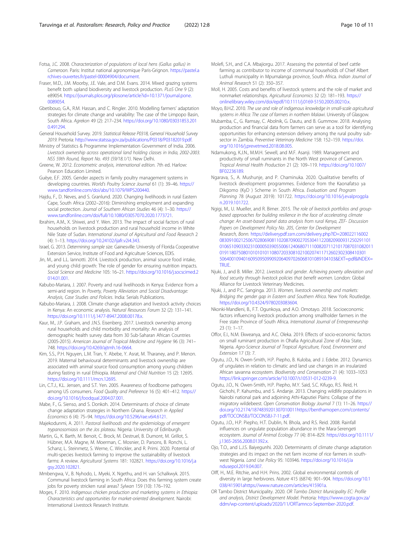- <span id="page-9-0"></span>Fraser, M.D., J.M. Moorby, J.E. Vale, and D.M. Evans. 2014. Mixed grazing systems benefit both upland biodiversity and livestock production. PLoS One 9 (2): e89054. [https://journals.plos.org/plosone/article?id=10.1371/journal.pone.](https://journals.plos.org/plosone/article?id=10.1371/journal.pone.0089054) [0089054.](https://journals.plos.org/plosone/article?id=10.1371/journal.pone.0089054)
- Gbetibouo, G.A., R.M. Hassan, and C. Ringler. 2010. Modelling farmers' adaptation strategies for climate change and variability: The case of the Limpopo Basin, South Africa. Agrekon 49 (2): 217–234. [https://doi.org/10.1080/03031853.201](https://doi.org/10.1080/03031853.2010.491294) [0.491294.](https://doi.org/10.1080/03031853.2010.491294)
- General Household Survey. 2019. Statistical Release P0318, General Household Survey 2019. Pretoria: <http://www.statssa.gov.za/publications/P0318/P03182019.pdf>.
- Ministry of Statistics & Programme Implementation Government of India. 2006. Livestock ownership across operational land holding classes in India, 2002-2003. NSS 59th Round, Report No. 493 (59/18.1/1). New Delhi.
- Greene, W. 2012. Econometric analysis, international edition. 7th ed. Harlow: Pearson Education Limited.
- Guèye, E.F. 2005. Gender aspects in family poultry management systems in developing countries. World's Poultry Science Journal 61 (1): 39–46. [https://](https://www.tandfonline.com/doi/abs/10.1079/WPS200440) [www.tandfonline.com/doi/abs/10.1079/WPS200440.](https://www.tandfonline.com/doi/abs/10.1079/WPS200440)
- Hajdu, F., D. Neves, and S. Granlund. 2020. Changing livelihoods in rural Eastern Cape, South Africa (2002–2016): Diminishing employment and expanding social protection. Journal of Southern African Studies 46 (4): 1–30. [https://](https://www.tandfonline.com/doi/full/10.1080/03057070.2020.1773721) [www.tandfonline.com/doi/full/10.1080/03057070.2020.1773721](https://www.tandfonline.com/doi/full/10.1080/03057070.2020.1773721).
- Ibrahim, A.M., X. Shiwei, and Y. Wen. 2013. The impact of social factors of rural households on livestock production and rural household income in White Nile State of Sudan. International Journal of Agricultural and Food Research 2 (4): 1–13. <https://doi.org/10.24102/ijafr.v2i4.343>.
- Israel, G. 2013. Determining sample size. Gainesville: University of Florida Cooperative Extension Service, Institute of Food and Agriculture Sciences, EDIS.
- Jin, M., and L.L. Iannotti. 2014. Livestock production, animal source food intake, and young child growth: The role of gender for ensuring nutrition impacts. Social Science and Medicine 105: 16–21. [https://doi.org/10.1016/j.socscimed.2](https://doi.org/10.1016/j.socscimed.2014.01.001) [014.01.001](https://doi.org/10.1016/j.socscimed.2014.01.001).
- Kabubo-Mariara, J. 2007. Poverty and rural livelihoods in Kenya: Evidence from a semi-arid region. In Poverty, Poverty Alleviation and Social Disadvantage: Analysis, Case Studies and Policies. India: Serials Publications.
- Kabubo-Mariara, J. 2008. Climate change adaptation and livestock activity choices in Kenya: An economic analysis. Natural Resources Forum 32 (2): 131–141. <https://doi.org/10.1111/j.1477-8947.2008.00178.x>.
- Kaur, M., J.P. Graham, and J.N.S. Eisenberg. 2017. Livestock ownership among rural households and child morbidity and mortality: An analysis of demographic health survey data from 30 Sub-Saharan African Countries (2005-2015). American Journal of Tropical Medicine and Hygiene 96 (3): 741– 748. [https://doi.org/10.4269/ajtmh.16-0664.](https://doi.org/10.4269/ajtmh.16-0664)
- Kim, S.S., P.H. Nguyen, L.M. Tran, Y. Abebe, Y. Asrat, M. Tharaney, and P. Menon. 2019. Maternal behavioural determinants and livestock ownership are associated with animal source food consumption among young children during fasting in rural Ethiopia. Maternal and Child Nutrition 15 (2): 12695. [https://doi.org/10.1111/mcn.12695.](https://doi.org/10.1111/mcn.12695)
- Lin, C.T.J., K.L. Jensen, and S.T. Yen. 2005. Awareness of foodborne pathogens among US consumers. Food Quality and Preference 16 (5): 401–412. [https://](https://doi.org/10.1016/j.foodqual.2004.07.001) [doi.org/10.1016/j.foodqual.2004.07.001.](https://doi.org/10.1016/j.foodqual.2004.07.001)
- Mabe, F., G. Sienso, and S. Donkoh. 2014. Determinants of choice of climate change adaptation strategies in Northern Ghana. Research in Applied Economics 6 (4): 75–94. [https://doi.org/10.5296/rae.v6i4.6121.](https://doi.org/10.5296/rae.v6i4.6121)
- Majekodunmi, A. 2011. Pastoral livelihoods and the epidemiology of emergent trypanosomiasis on the Jos plateau. Nigeria: University of Edinburgh.
- Martin, G., K. Barth, M. Benoit, C. Brock, M. Destruel, B. Dumont, M. Grillot, S. Hübner, M.A. Magne, M. Moerman, C. Mosnier, D. Parsons, B. Ronchi, L. Schanz, L. Steinmetz, S. Werne, C. Winckler, and R. Primi. 2020. Potential of multi-species livestock farming to improve the sustainability of livestock farms: A review. Agricultural Systems 181: 102821. [https://doi.org/10.1016/j.a](https://doi.org/10.1016/j.agsy.2020.102821) [gsy.2020.102821.](https://doi.org/10.1016/j.agsy.2020.102821)
- Mmbengwa, V., B. Nyhodo, L. Myeki, X. Ngethu, and H. van Schalkwyk. 2015. Communal livestock farming in South Africa: Does this farming system create jobs for poverty stricken rural areas? Sylwan 159 (10): 176–192.
- Moges, F. 2010. Indigenous chicken production and marketing systems in Ethiopia: Characteristics and opportunities for market-oriented development. Nairobi: International Livestock Research Institute.
- Molefi, S.H., and C.A. Mbajiorgu. 2017. Assessing the potential of beef cattle farming as contributor to income of communal households of Chief Albert Luthuli municipality in Mpumalanga province, South Africa. Indian Journal of Animal Research 51 (2): 350–357.
- Moll, H. 2005. Costs and benefits of livestock systems and the role of market and nonmarket relationships. Agricultural Economics 32 (2): 181–193. [https://](https://onlinelibrary.wiley.com/doi/epdf/10.1111/j.0169-5150.2005.00210.x) [onlinelibrary.wiley.com/doi/epdf/10.1111/j.0169-5150.2005.00210.x](https://onlinelibrary.wiley.com/doi/epdf/10.1111/j.0169-5150.2005.00210.x).
- Moyo, B.H.Z. 2010. The use and role of indigenous knowledge in small-scale agricultural systems in Africa: The case of farmers in northern Malawi. University of Glasgow.
- Mubamba, C., G. Ramsay, C. Abolnik, G. Dautu, and B. Gummow. 2018. Analysing production and financial data from farmers can serve as a tool for identifying opportunities for enhancing extension delivery among the rural poultry subsector in Zambia. Preventive Veterinary Medicine 158: 152-159. [https://doi.](https://doi.org/10.1016/j.prevetmed.2018.08.005) [org/10.1016/j.prevetmed.2018.08.005](https://doi.org/10.1016/j.prevetmed.2018.08.005).
- Ndamukong, K.J.N., M.M.H. Sewell, and M.F. Asanji. 1989. Management and productivity of small ruminants in the North West province of Cameron. Tropical Animal Health Production 21 (2): 109–119. [https://doi.org/10.1007/](https://doi.org/10.1007/BF02236189) [BF02236189.](https://doi.org/10.1007/BF02236189)
- Ngarava, S., A. Mushunje, and P. Chaminuka. 2020. Qualitative benefits of livestock development programmes. Evidence from the Kaonafatso ya Dikgomo (KyD ) Scheme in South Africa. Evaluation and Program Planning 78 (August 2019): 101722. [https://doi.org/10.1016/j.evalprogpla](https://doi.org/10.1016/j.evalprogplan.2019.101722) [n.2019.101722](https://doi.org/10.1016/j.evalprogplan.2019.101722).
- Ngigi, M., U. Mueller, and R. Birner. 2015. The role of livestock portfolios and groupbased approaches for building resilience in the face of accelerating climate change: An asset-based panel data analysis from rural Kenya, ZEF- Discussion Papers on Development Policy No. 205, Center for Development Research, Bonn. [https://deliverypdf.ssrn.com/delivery.php?ID=208022116002](https://deliverypdf.ssrn.com/delivery.php?ID=208022116002083091002125067028069081102087090027053041122082090093125029110101065109033023100005039055006124068071110082071121017087031082011019118075080101010101108072033081021002074117126023023084103015064001094016095095099092064097026068101089104103&EXT=pdf&INDEX=TRUE) [0830910021250670280690811020870900270530411220820900931250291101](https://deliverypdf.ssrn.com/delivery.php?ID=208022116002083091002125067028069081102087090027053041122082090093125029110101065109033023100005039055006124068071110082071121017087031082011019118075080101010101108072033081021002074117126023023084103015064001094016095095099092064097026068101089104103&EXT=pdf&INDEX=TRUE) [01065109033023100005039055006124068071110082071121017087031082011](https://deliverypdf.ssrn.com/delivery.php?ID=208022116002083091002125067028069081102087090027053041122082090093125029110101065109033023100005039055006124068071110082071121017087031082011019118075080101010101108072033081021002074117126023023084103015064001094016095095099092064097026068101089104103&EXT=pdf&INDEX=TRUE) [01911807508010101010110807203308102100207411712602302308410301](https://deliverypdf.ssrn.com/delivery.php?ID=208022116002083091002125067028069081102087090027053041122082090093125029110101065109033023100005039055006124068071110082071121017087031082011019118075080101010101108072033081021002074117126023023084103015064001094016095095099092064097026068101089104103&EXT=pdf&INDEX=TRUE) [5064001094016095095099092064097026068101089104103&EXT=pdf&INDEX=](https://deliverypdf.ssrn.com/delivery.php?ID=208022116002083091002125067028069081102087090027053041122082090093125029110101065109033023100005039055006124068071110082071121017087031082011019118075080101010101108072033081021002074117126023023084103015064001094016095095099092064097026068101089104103&EXT=pdf&INDEX=TRUE) [TRUE](https://deliverypdf.ssrn.com/delivery.php?ID=208022116002083091002125067028069081102087090027053041122082090093125029110101065109033023100005039055006124068071110082071121017087031082011019118075080101010101108072033081021002074117126023023084103015064001094016095095099092064097026068101089104103&EXT=pdf&INDEX=TRUE).
- Njuki, J., and B. Miller. 2012. Livestock and gender. Achieving poverty alleviation and food security through livestock policies that benefit women. London: Global Alliance for Livestock Veterinary Medicines.
- Njuki, J., and P.C. Sanginga. 2013. Women, livestock ownership and markets: Bridging the gender gap in Eastern and Southern Africa. New York: Routledge. <https://doi.org/10.4324/9780203083604>.
- Nkonki-Mandleni, B., F.T. Ogunkoya, and A.O. Omotayo. 2018. Socioeconomic factors influencing livestock production among smallholder farmers in the Free state Province of South Africa. International Journal of Entrepreneurship 23 (1): 1–17.
- Offor, E.I., N.M. Ekweanya, and A.C. Oleka. 2019. Effects of socio-economic factors on small ruminant production in Ohafia Agricultural Zone of Abia State, Nigeria. Agro-Science Journal of Tropical Agriculture, Food, Environment and Extension 17 (3): 7.
- Ogutu, J.O., N. Owen-Smith, H.P. Piepho, B. Kuloba, and J. Edebe. 2012. Dynamics of ungulates in relation to climatic and land use changes in an insularized African savanna ecosystem. Biodiversity and Conservation 21 (4): 1033–1053 <https://link.springer.com/article/10.1007/s10531-012-0239-9>.
- Ogutu, J.O., N. Owen-Smith, H.P. Piepho, M.Y. Said, S.C. Kifugo, R.S. Reid, H. Gichohi, P. Kahumbu, and S. Andanje. 2013. Changing wildlife populations in Nairobi national park and adjoining Athi-Kaputiei Plains: Collapse of the migratory wildebeest. Open Conservation Biology Journal 7 (1): 11–26. [https://](https://doi.org/10.2174/1874839201307010011) [doi.org/10.2174/1874839201307010011](https://doi.org/10.2174/1874839201307010011)[https://benthamopen.com/contents/](https://benthamopen.com/contents/pdf/TOCONSBJ/TOCONSBJ-7-11.pdf) [pdf/TOCONSBJ/TOCONSBJ-7-11.pdf](https://benthamopen.com/contents/pdf/TOCONSBJ/TOCONSBJ-7-11.pdf).
- Ogutu, J.O., H.P. Piepho, H.T. Dublin, N. Bhola, and R.S. Reid. 2008. Rainfall influences on ungulate population abundance in the Mara-Serengeti ecosystem. Journal of Animal Ecology 77 (4): 814–829. [https://doi.org/10.1111/](https://doi.org/10.1111/j.1365-2656.2008.01392.x) [j.1365-2656.2008.01392.x](https://doi.org/10.1111/j.1365-2656.2008.01392.x).
- Ojo, T.O., and L.J.S. Baiyegunhi. 2020. Determinants of climate change adaptation strategies and its impact on the net farm income of rice farmers in southwest Nigeria. Land Use Policy 95: 103946. [https://doi.org/10.1016/j.la](https://doi.org/10.1016/j.landusepol.2019.04.007) [ndusepol.2019.04.007](https://doi.org/10.1016/j.landusepol.2019.04.007).
- Olff, H., M.E. Ritchie, and H.H. Prins. 2002. Global environmental controls of diversity in large herbivores. Nature 415 (6874): 901–904. [https://doi.org/10.1](https://doi.org/10.1038/415901a) [038/415901a](https://doi.org/10.1038/415901a)<https://www.nature.com/articles/415901a>.
- OR Tambo District Municipality. 2020. OR Tambo District Municipality EC: Profile and analysis, District Development Model. Pretoria: [https://www.cogta.gov.za/](https://www.cogta.gov.za/ddm/wp-content/uploads/2020/11/ORTamnco-September-2020.pdf) [ddm/wp-content/uploads/2020/11/ORTamnco-September-2020.pdf.](https://www.cogta.gov.za/ddm/wp-content/uploads/2020/11/ORTamnco-September-2020.pdf)